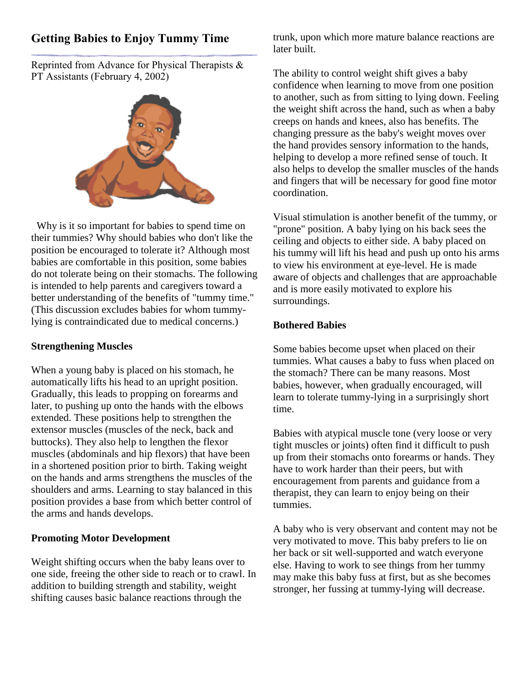# **Getting Babies to Enjoy Tummy Time**

Reprinted from Advance for Physical Therapists & PT Assistants (February 4, 2002)



Why is it so important for babies to spend time on their tummies? Why should babies who don't like the position be encouraged to tolerate it? Although most babies are comfortable in this position, some babies do not tolerate being on their stomachs. The following is intended to help parents and caregivers toward a better understanding of the benefits of "tummy time." (This discussion excludes babies for whom tummylying is contraindicated due to medical concerns.)

## **Strengthening Muscles**

When a young baby is placed on his stomach, he automatically lifts his head to an upright position. Gradually, this leads to propping on forearms and later, to pushing up onto the hands with the elbows extended. These positions help to strengthen the extensor muscles (muscles of the neck, back and buttocks). They also help to lengthen the flexor muscles (abdominals and hip flexors) that have been in a shortened position prior to birth. Taking weight on the hands and arms strengthens the muscles of the shoulders and arms. Learning to stay balanced in this position provides a base from which better control of the arms and hands develops.

#### **Promoting Motor Development**

Weight shifting occurs when the baby leans over to one side, freeing the other side to reach or to crawl. In addition to building strength and stability, weight shifting causes basic balance reactions through the

trunk, upon which more mature balance reactions are later built.

The ability to control weight shift gives a baby confidence when learning to move from one position to another, such as from sitting to lying down. Feeling the weight shift across the hand, such as when a baby creeps on hands and knees, also has benefits. The changing pressure as the baby's weight moves over the hand provides sensory information to the hands, helping to develop a more refined sense of touch. It also helps to develop the smaller muscles of the hands and fingers that will be necessary for good fine motor coordination.

Visual stimulation is another benefit of the tummy, or "prone" position. A baby lying on his back sees the ceiling and objects to either side. A baby placed on his tummy will lift his head and push up onto his arms to view his environment at eye-level. He is made aware of objects and challenges that are approachable and is more easily motivated to explore his surroundings.

## **Bothered Babies**

Some babies become upset when placed on their tummies. What causes a baby to fuss when placed on the stomach? There can be many reasons. Most babies, however, when gradually encouraged, will learn to tolerate tummy-lying in a surprisingly short time.

Babies with atypical muscle tone (very loose or very tight muscles or joints) often find it difficult to push up from their stomachs onto forearms or hands. They have to work harder than their peers, but with encouragement from parents and guidance from a therapist, they can learn to enjoy being on their tummies.

A baby who is very observant and content may not be very motivated to move. This baby prefers to lie on her back or sit well-supported and watch everyone else. Having to work to see things from her tummy may make this baby fuss at first, but as she becomes stronger, her fussing at tummy-lying will decrease.